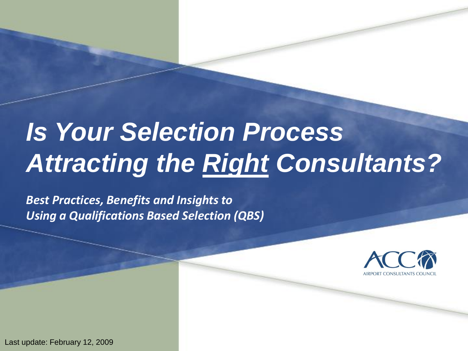# *Is Your Selection Process Attracting the Right Consultants?*

*Best Practices, Benefits and Insights to Using a Qualifications Based Selection (QBS)*



**1** Last update: February 12, 2009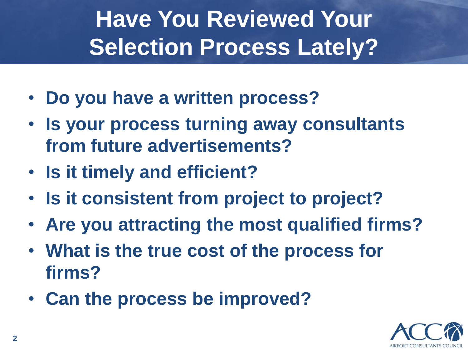# **Have You Reviewed Your Selection Process Lately?**

- **Do you have a written process?**
- **Is your process turning away consultants from future advertisements?**
- **Is it timely and efficient?**
- **Is it consistent from project to project?**
- **Are you attracting the most qualified firms?**
- **What is the true cost of the process for firms?**
- **Can the process be improved?**

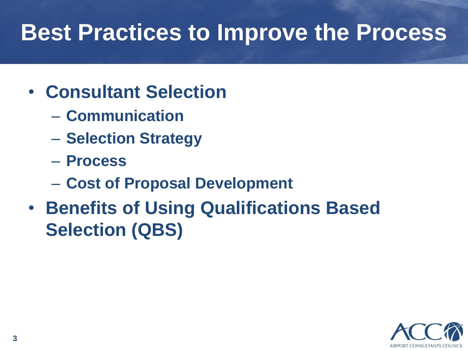## **Best Practices to Improve the Process**

- **Consultant Selection**
	- **Communication**
	- **Selection Strategy**
	- **Process**
	- **Cost of Proposal Development**
- **Benefits of Using Qualifications Based Selection (QBS)**

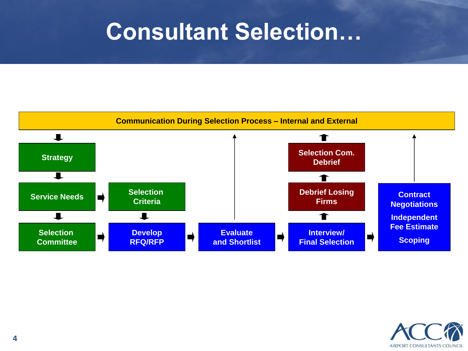#### **Consultant Selection…**



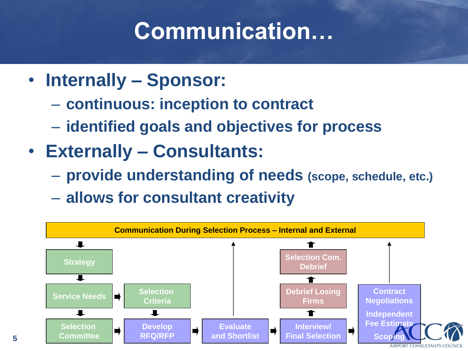## **Communication…**

- **Internally – Sponsor:**
	- **continuous: inception to contract**
	- **identified goals and objectives for process**
- **Externally – Consultants:**
	- **provide understanding of needs (scope, schedule, etc.)**
	- **allows for consultant creativity**

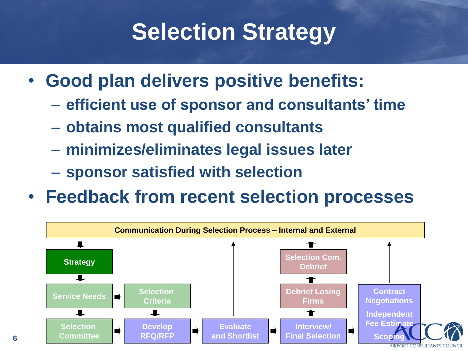## **Selection Strategy**

- **Good plan delivers positive benefits:**
	- **efficient use of sponsor and consultants' time**
	- **obtains most qualified consultants**
	- **minimizes/eliminates legal issues later**
	- **sponsor satisfied with selection**

**6**

• **Feedback from recent selection processes**

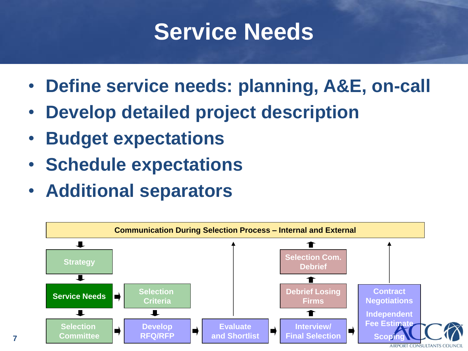### **Service Needs**

- **Define service needs: planning, A&E, on-call**
- **Develop detailed project description**
- **Budget expectations**
- **Schedule expectations**
- **Additional separators**

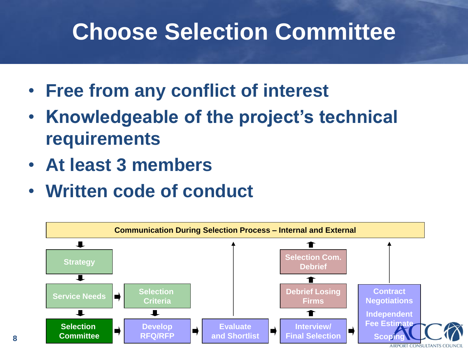### **Choose Selection Committee**

- **Free from any conflict of interest**
- **Knowledgeable of the project's technical requirements**
- **At least 3 members**
- **Written code of conduct**

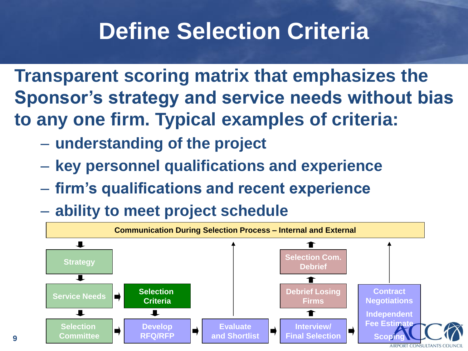### **Define Selection Criteria**

**Transparent scoring matrix that emphasizes the Sponsor's strategy and service needs without bias to any one firm. Typical examples of criteria:**

- **understanding of the project**
- **key personnel qualifications and experience**
- **firm's qualifications and recent experience**
- **ability to meet project schedule**

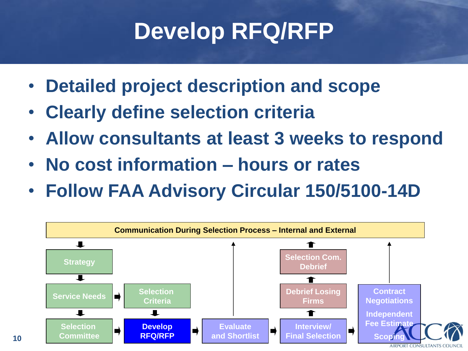## **Develop RFQ/RFP**

- **Detailed project description and scope**
- **Clearly define selection criteria**
- **Allow consultants at least 3 weeks to respond**
- **No cost information – hours or rates**
- **Follow FAA Advisory Circular 150/5100-14D**

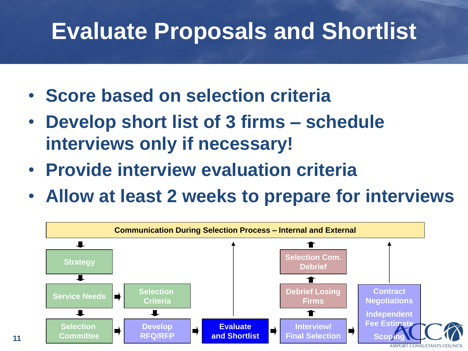#### **Evaluate Proposals and Shortlist**

- **Score based on selection criteria**
- **Develop short list of 3 firms – schedule interviews only if necessary!**
- **Provide interview evaluation criteria**

**11**

• **Allow at least 2 weeks to prepare for interviews**

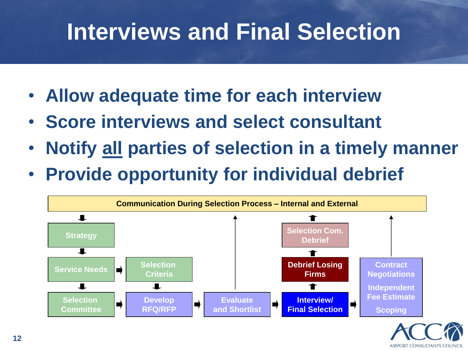## **Interviews and Final Selection**

- **Allow adequate time for each interview**
- **Score interviews and select consultant**
- **Notify all parties of selection in a timely manner**
- **Provide opportunity for individual debrief**



**AIRPORT CONSULTANTS COL**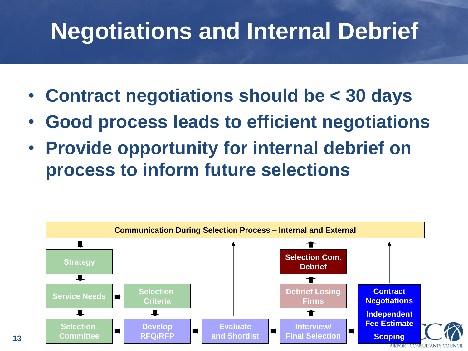### **Negotiations and Internal Debrief**

- **Contract negotiations should be < 30 days**
- **Good process leads to efficient negotiations**
- **Provide opportunity for internal debrief on process to inform future selections**

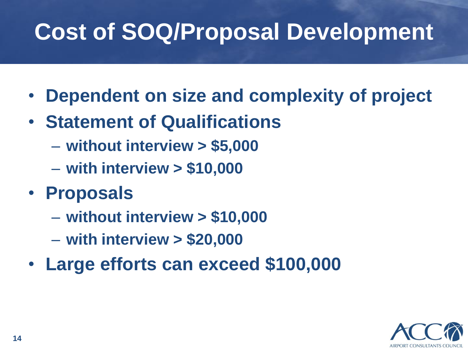# **Cost of SOQ/Proposal Development**

- **Dependent on size and complexity of project**
- **Statement of Qualifications**
	- **without interview > \$5,000**
	- **with interview > \$10,000**
- **Proposals**
	- **without interview > \$10,000**
	- **with interview > \$20,000**
- **Large efforts can exceed \$100,000**